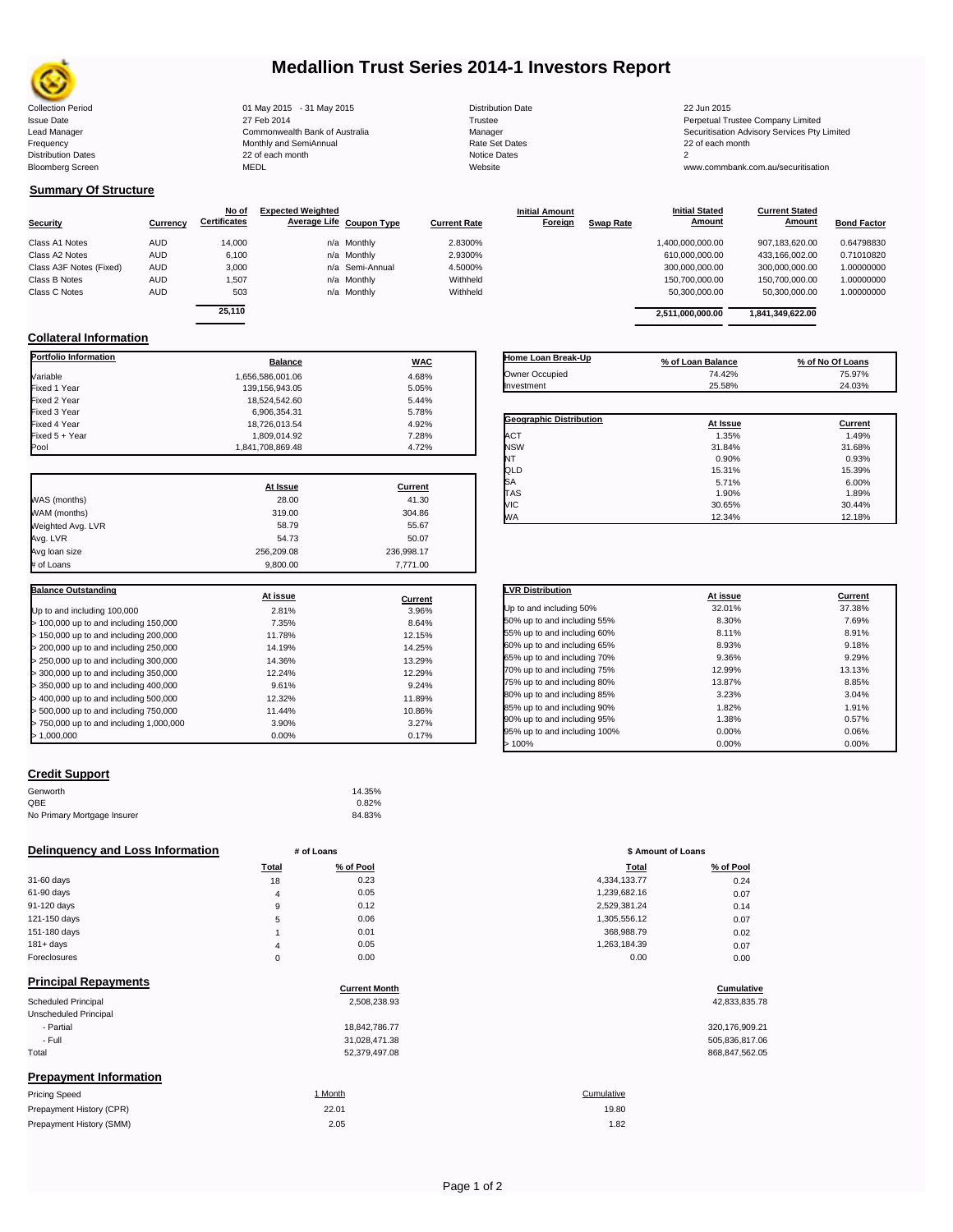

# **Medallion Trust Series 2014-1 Investors Report**

| <b>Collection Period</b>  | 01 May 2015 - 31 May 2015      | <b>Distribution Date</b> | 22 Jun 2015                            |
|---------------------------|--------------------------------|--------------------------|----------------------------------------|
| <b>Issue Date</b>         | 27 Feb 2014                    | Trustee                  | Perpetual Trustee Company Limited      |
| Lead Manager              | Commonwealth Bank of Australia | Manager                  | Securitisation Advisory Services Pty L |
| Frequency                 | Monthly and SemiAnnual         | Rate Set Dates           | 22 of each month                       |
| <b>Distribution Dates</b> | 22 of each month               | Notice Dates             |                                        |
| <b>Bloomberg Screen</b>   | MEDL                           | Website                  | www.commbank.com.au/securitisation     |

18,524,542.60 5.44%<br>6.906.354.31 5.78%

18,726,013.54 4.92%<br>1,809,014.92 7.28%

**At Issue Current**

**At issue Current**

**Current Stated** 

## **Summary Of Structure**

**Collateral Information**

|                         |            | No of               | <b>Expected Weighted</b> |                 |                     | <b>Initial Amount</b> |                  | <b>Initial Stated</b> | <b>Current Stated</b> |                    |
|-------------------------|------------|---------------------|--------------------------|-----------------|---------------------|-----------------------|------------------|-----------------------|-----------------------|--------------------|
| <b>Security</b>         | Currency   | <b>Certificates</b> | Average Life Coupon Type |                 | <b>Current Rate</b> | Foreign               | <b>Swap Rate</b> | Amount                | Amount                | <b>Bond Factor</b> |
| Class A1 Notes          | <b>AUD</b> | 14,000              |                          | n/a Monthly     | 2.8300%             |                       |                  | 1,400,000,000.00      | 907.183.620.00        | 0.64798830         |
| Class A2 Notes          | <b>AUD</b> | 6,100               |                          | n/a Monthly     | 2.9300%             |                       |                  | 610,000,000.00        | 433,166,002.00        | 0.71010820         |
| Class A3F Notes (Fixed) | <b>AUD</b> | 3,000               |                          | n/a Semi-Annual | 4.5000%             |                       |                  | 300.000.000.00        | 300.000.000.00        | 1.00000000         |
| Class B Notes           | <b>AUD</b> | 1,507               |                          | n/a Monthly     | Withheld            |                       |                  | 150.700.000.00        | 150,700,000.00        | 1.00000000         |
| Class C Notes           | AUD        | 503                 |                          | n/a Monthly     | Withheld            |                       |                  | 50,300,000.00         | 50,300,000.00         | 1.00000000         |
|                         |            |                     |                          |                 |                     |                       |                  |                       |                       |                    |
|                         |            | 25.110              |                          |                 |                     |                       |                  | 2.511.000.000.00      | 1.841.349.622.00      |                    |

**Portfolio Information**<br> **Balance Balance WAC** Variable 1,656,586,001.06 4.68% Fixed 1 Year 139,156,943.05 5.05% 5.05% 5.05% 5.05% 5.05% 5.05% 5.05% 5.05% 5.05% 5.05% 5.05% 5.05% 5.05% 5.0<br>المجاهدة 5.44% 5.000 5.000 5.000 5.000 5.000 5.000 5.000 5.000 5.000 5.000 5.000 5.000 5.000 5.000 5.000 5.000

Fixed 3 Year 6,906,354.31 5.78%

Fixed 5 + Year 1,809,014.92 7.28%

WAS (months) 28.00 41.30 WAM (months) 304.86 Weighted Avg. LVR 58.79 55.67 Avg. LVR 54.73 50.07 Avg loan size 256,209.08 236,998.17 # of Loans 9,800.00 7,771.00

Up to and including 100,000 and the state of the state of 2.81% 3.96% > 100,000 up to and including 150,000 7.35% 8.64% > 150,000 up to and including 200,000 11.78% 12.15% > 200,000 up to and including 250,000 14.19% 14.25% > 250,000 up to and including 300,000 14.36% 13.29% > 300,000 up to and including 350,000 12.24% 12.29% > 350,000 up to and including 400,000 9.61% 9.24% > 400,000 up to and including 500,000 12.32% 11.89%

> 750,000 up to and including 1,000,000 3.90% 3.27%

1,841,708,869.48

| Home Loan Break-Up             | % of Loan Balance | % of No Of Loans |
|--------------------------------|-------------------|------------------|
| Owner Occupied                 | 74.42%            | 75.97%           |
| Investment                     | 25.58%            | 24.03%           |
| <b>Geographic Distribution</b> | At Issue          | Current          |
|                                |                   |                  |
| <b>ACT</b>                     | 1.35%             | 1.49%            |
| <b>NSW</b>                     | 31.84%            | 31.68%           |
| NT                             | 0.90%             | 0.93%            |
|                                |                   |                  |
|                                | 15.31%            | 15.39%           |
|                                | 5.71%             | 6.00%            |
| QLD<br>lSА<br><b>TAS</b>       | 1.90%             | 1.89%            |

WA 12.34% 12.18%

**Initial Stated** 

| <b>LVR Distribution</b>      | At issue | Current |
|------------------------------|----------|---------|
| Up to and including 50%      | 32.01%   | 37.38%  |
| 50% up to and including 55%  | 8.30%    | 7.69%   |
| 55% up to and including 60%  | 8.11%    | 8.91%   |
| 60% up to and including 65%  | 8.93%    | 9.18%   |
| 65% up to and including 70%  | 9.36%    | 9.29%   |
| 70% up to and including 75%  | 12.99%   | 13.13%  |
| 75% up to and including 80%  | 13.87%   | 8.85%   |
| 80% up to and including 85%  | 3.23%    | 3.04%   |
| 85% up to and including 90%  | 1.82%    | 1.91%   |
| 90% up to and including 95%  | 1.38%    | 0.57%   |
| 95% up to and including 100% | 0.00%    | 0.06%   |
| 100%                         | 0.00%    | 0.00%   |

## **Credit Support**

 $> 1,000,000$ 

**Balance Outstanding**

| 14.35% |
|--------|
| 0.82%  |
| 84.83% |
|        |

## **Delinquency and Loss Information** # of Loans

> 500,000 up to and including 750,000 11.44% 10.86%

|              | Total    | % of Pool | Total        | % of Pool |
|--------------|----------|-----------|--------------|-----------|
| 31-60 days   | 18       | 0.23      | 4,334,133.77 | 0.24      |
| 61-90 days   | 4        | 0.05      | 1,239,682.16 | 0.07      |
| 91-120 days  | 9        | 0.12      | 2,529,381.24 | 0.14      |
| 121-150 days | 5        | 0.06      | 1,305,556.12 | 0.07      |
| 151-180 days |          | 0.01      | 368.988.79   | 0.02      |
| $181 + days$ | 4        | 0.05      | 1,263,184.39 | 0.07      |
| Foreclosures | $\Omega$ | 0.00      | 0.00         | 0.00      |

| <b>Principal Repayments</b>   |                      |                   |
|-------------------------------|----------------------|-------------------|
|                               | <b>Current Month</b> | <b>Cumulative</b> |
| Scheduled Principal           | 2,508,238.93         | 42,833,835.78     |
| Unscheduled Principal         |                      |                   |
| - Partial                     | 18.842.786.77        | 320,176,909.21    |
| - Full                        | 31,028,471.38        | 505,836,817.06    |
| Total                         | 52,379,497.08        | 868,847,562.05    |
| <b>Prepayment Information</b> |                      |                   |
| <b>Pricing Speed</b>          | 1 Month              | Cumulative        |
| Prepayment History (CPR)      | 22.01                | 19.80             |
| Prepayment History (SMM)      | 2.05                 | 1.82              |

| Page 1 of 2 |  |
|-------------|--|
|-------------|--|

| Total | % of Pool | <b>Total</b> | % of Pool |
|-------|-----------|--------------|-----------|
| 18    | 0.23      | 4,334,133.77 | 0.24      |
| 4     | 0.05      | 1,239,682.16 | 0.07      |
| 9     | 0.12      | 2,529,381.24 | 0.14      |
| 5     | 0.06      | 1,305,556.12 | 0.07      |
|       | 0.01      | 368.988.79   | 0.02      |
| 4     | 0.05      | 1,263,184.39 | 0.07      |
| 0     | 0.00      | 0.00         | 0.00      |
|       |           |              |           |

| 320.176.909.21 |  |
|----------------|--|
| 505.836.817.06 |  |
| 868.847.562.05 |  |

# 19.80